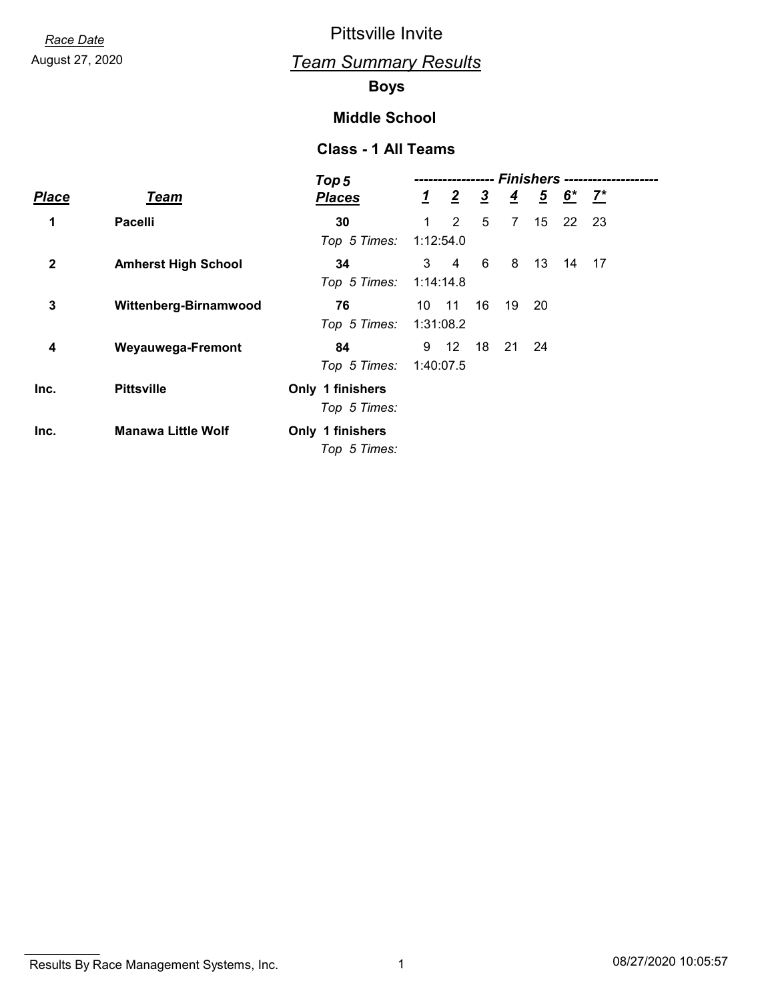# August 27, 2020 *Team Summary Results*

### **Boys**

#### **Middle School**

|              |                            | Top 5            | Finishers --- |                |               |                |                |       |       |  |
|--------------|----------------------------|------------------|---------------|----------------|---------------|----------------|----------------|-------|-------|--|
| <b>Place</b> | <b>Team</b>                | <b>Places</b>    | $\mathbf{1}$  | $\overline{2}$ | $\frac{3}{2}$ | $\overline{4}$ | $\overline{5}$ | $6^*$ | $Z^*$ |  |
| 1            | <b>Pacelli</b>             | 30               | 1             | 2              | 5             | $\overline{7}$ | 15             | 22    | 23    |  |
|              |                            | Top 5 Times:     |               | 1:12:54.0      |               |                |                |       |       |  |
| $\mathbf 2$  | <b>Amherst High School</b> | 34               | 3             | 4              | 6             | 8              | 13             | 14    | 17    |  |
|              |                            | Top 5 Times:     | 1:14:14.8     |                |               |                |                |       |       |  |
| 3            | Wittenberg-Birnamwood      | 76               | 10            | $-11$          | 16            | 19             | -20            |       |       |  |
|              |                            | Top 5 Times:     |               | 1:31:08.2      |               |                |                |       |       |  |
| 4            | <b>Weyauwega-Fremont</b>   | 84               | 9             | 12             | 18            | 21             | 24             |       |       |  |
|              |                            | Top 5 Times:     |               | 1:40:07.5      |               |                |                |       |       |  |
| Inc.         | <b>Pittsville</b>          | Only 1 finishers |               |                |               |                |                |       |       |  |
|              |                            | Top 5 Times:     |               |                |               |                |                |       |       |  |
| Inc.         | <b>Manawa Little Wolf</b>  | Only 1 finishers |               |                |               |                |                |       |       |  |
|              |                            | Top 5 Times:     |               |                |               |                |                |       |       |  |

Results By Race Management Systems, Inc. 1 08/27/2020 10:05:57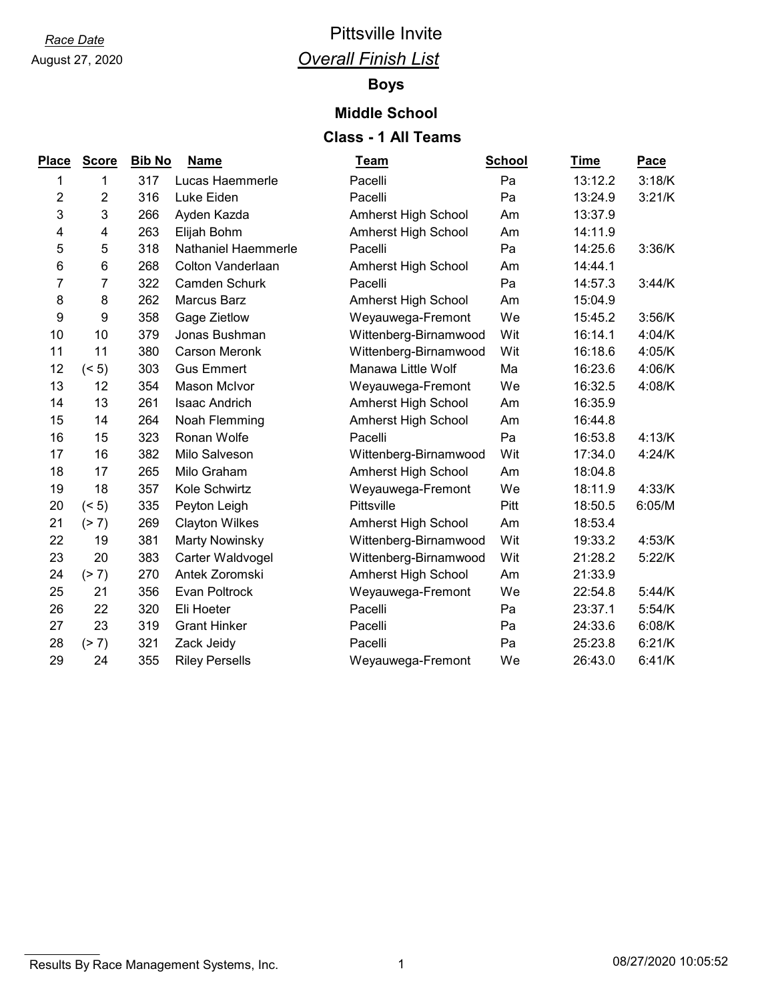# August 27, 2020

# *Race Date* Pittsville Invite *Overall Finish List*

#### **Boys**

#### **Middle School**

| Place            | <b>Score</b>     | <b>Bib No</b> | <b>Name</b>           | <b>Team</b>                | <b>School</b> | <b>Time</b> | Pace   |
|------------------|------------------|---------------|-----------------------|----------------------------|---------------|-------------|--------|
| 1                | 1                | 317           | Lucas Haemmerle       | Pacelli                    | Pa            | 13:12.2     | 3:18/K |
| 2                | $\boldsymbol{2}$ | 316           | Luke Eiden            | Pacelli                    | Pa            | 13:24.9     | 3:21/K |
| 3                | 3                | 266           | Ayden Kazda           | <b>Amherst High School</b> | Am            | 13:37.9     |        |
| 4                | 4                | 263           | Elijah Bohm           | Amherst High School        | Am            | 14:11.9     |        |
| 5                | 5                | 318           | Nathaniel Haemmerle   | Pacelli                    | Pa            | 14:25.6     | 3:36/K |
| 6                | 6                | 268           | Colton Vanderlaan     | Amherst High School        | Am            | 14:44.1     |        |
| 7                | 7                | 322           | Camden Schurk         | Pacelli                    | Pa            | 14:57.3     | 3:44/K |
| 8                | 8                | 262           | Marcus Barz           | Amherst High School        | Am            | 15:04.9     |        |
| $\boldsymbol{9}$ | 9                | 358           | Gage Zietlow          | Weyauwega-Fremont          | We            | 15:45.2     | 3:56/K |
| 10               | 10               | 379           | Jonas Bushman         | Wittenberg-Birnamwood      | Wit           | 16:14.1     | 4:04/K |
| 11               | 11               | 380           | <b>Carson Meronk</b>  | Wittenberg-Birnamwood      | Wit           | 16:18.6     | 4:05/K |
| 12               | (< 5)            | 303           | <b>Gus Emmert</b>     | Manawa Little Wolf         | Ma            | 16:23.6     | 4:06/K |
| 13               | 12               | 354           | Mason McIvor          | Weyauwega-Fremont          | We            | 16:32.5     | 4:08/K |
| 14               | 13               | 261           | <b>Isaac Andrich</b>  | Amherst High School        | Am            | 16:35.9     |        |
| 15               | 14               | 264           | Noah Flemming         | Amherst High School        | Am            | 16:44.8     |        |
| 16               | 15               | 323           | Ronan Wolfe           | Pacelli                    | Pa            | 16:53.8     | 4:13/K |
| 17               | 16               | 382           | Milo Salveson         | Wittenberg-Birnamwood      | Wit           | 17:34.0     | 4:24/K |
| 18               | 17               | 265           | Milo Graham           | Amherst High School        | Am            | 18:04.8     |        |
| 19               | 18               | 357           | Kole Schwirtz         | Weyauwega-Fremont          | We            | 18:11.9     | 4:33/K |
| 20               | (< 5)            | 335           | Peyton Leigh          | Pittsville                 | Pitt          | 18:50.5     | 6:05/M |
| 21               | (2 7)            | 269           | <b>Clayton Wilkes</b> | Amherst High School        | Am            | 18:53.4     |        |
| 22               | 19               | 381           | <b>Marty Nowinsky</b> | Wittenberg-Birnamwood      | Wit           | 19:33.2     | 4:53/K |
| 23               | 20               | 383           | Carter Waldvogel      | Wittenberg-Birnamwood      | Wit           | 21:28.2     | 5:22/K |
| 24               | (2 7)            | 270           | Antek Zoromski        | Amherst High School        | Am            | 21:33.9     |        |
| 25               | 21               | 356           | Evan Poltrock         | Weyauwega-Fremont          | We            | 22:54.8     | 5:44/K |
| 26               | 22               | 320           | Eli Hoeter            | Pacelli                    | Pa            | 23:37.1     | 5:54/K |
| 27               | 23               | 319           | <b>Grant Hinker</b>   | Pacelli                    | Pa            | 24:33.6     | 6:08/K |
| 28               | (2 7)            | 321           | Zack Jeidy            | Pacelli                    | Pa            | 25:23.8     | 6:21/K |
| 29               | 24               | 355           | <b>Riley Persells</b> | Weyauwega-Fremont          | We            | 26:43.0     | 6:41/K |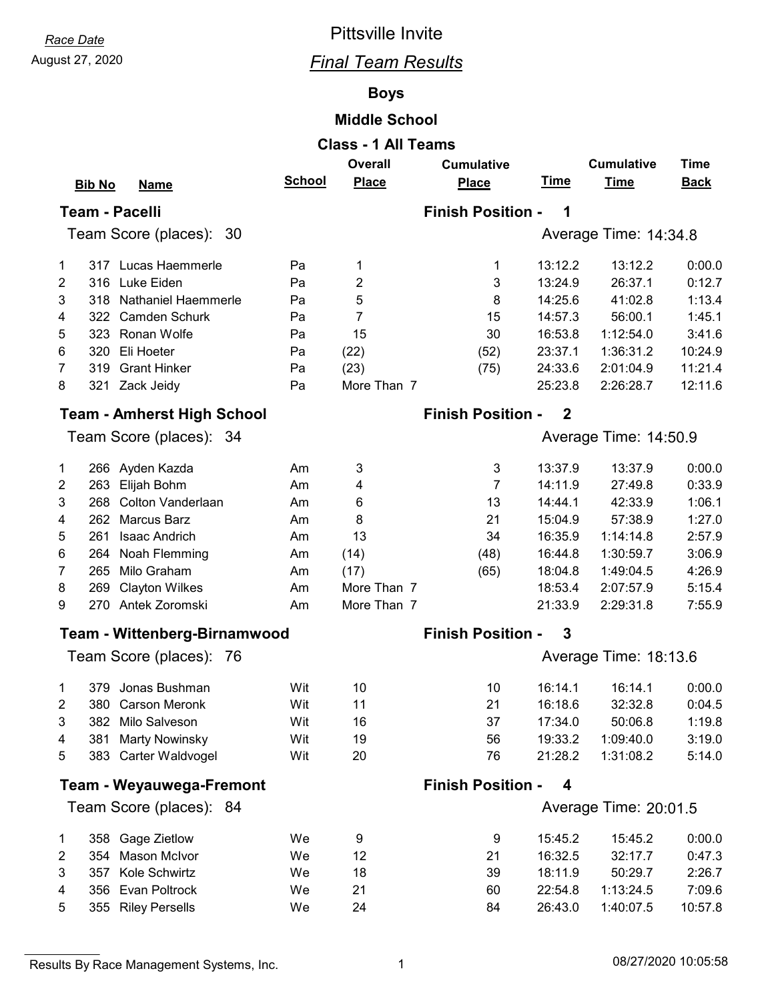# August 27, 2020 *Final Team Results*

#### **Boys**

#### **Middle School**

| <b>Class - 1 All Teams</b> |                                                                         |               |              |                          |                       |                       |             |  |  |  |
|----------------------------|-------------------------------------------------------------------------|---------------|--------------|--------------------------|-----------------------|-----------------------|-------------|--|--|--|
|                            | <b>Overall</b><br><b>Cumulative</b><br><b>Time</b><br><b>Cumulative</b> |               |              |                          |                       |                       |             |  |  |  |
|                            | <b>Bib No</b><br><b>Name</b>                                            | <b>School</b> | <b>Place</b> | <b>Place</b>             | <u>Time</u>           | <b>Time</b>           | <b>Back</b> |  |  |  |
|                            | <b>Team - Pacelli</b>                                                   |               |              | <b>Finish Position -</b> | 1                     |                       |             |  |  |  |
|                            | Team Score (places): 30                                                 |               |              |                          |                       | Average Time: 14:34.8 |             |  |  |  |
|                            |                                                                         |               |              |                          |                       |                       |             |  |  |  |
| 1                          | 317 Lucas Haemmerle                                                     | Pa            | 1            | 1                        | 13:12.2               | 13:12.2               | 0:00.0      |  |  |  |
| 2                          | Luke Eiden<br>316                                                       | Pa            | 2            | 3                        | 13:24.9               | 26:37.1               | 0:12.7      |  |  |  |
| 3                          | 318 Nathaniel Haemmerle                                                 | Pa            | 5            | 8                        | 14:25.6               | 41:02.8               | 1:13.4      |  |  |  |
| 4                          | 322 Camden Schurk                                                       | Pa            | 7            | 15                       | 14:57.3               | 56:00.1               | 1:45.1      |  |  |  |
| 5                          | 323 Ronan Wolfe                                                         | Pa            | 15           | 30                       | 16:53.8               | 1:12:54.0             | 3:41.6      |  |  |  |
| 6                          | 320 Eli Hoeter                                                          | Pa            | (22)         | (52)                     | 23:37.1               | 1:36:31.2             | 10:24.9     |  |  |  |
| $\overline{7}$             | 319<br><b>Grant Hinker</b>                                              | Pa            | (23)         | (75)                     | 24:33.6               | 2:01:04.9             | 11:21.4     |  |  |  |
| 8                          | 321 Zack Jeidy                                                          | Pa            | More Than 7  |                          | 25:23.8               | 2:26:28.7             | 12:11.6     |  |  |  |
|                            | <b>Team - Amherst High School</b>                                       |               |              | <b>Finish Position -</b> | $\mathbf 2$           |                       |             |  |  |  |
|                            | Team Score (places): 34                                                 |               |              |                          |                       | Average Time: 14:50.9 |             |  |  |  |
|                            |                                                                         |               |              |                          |                       |                       |             |  |  |  |
| 1                          | 266 Ayden Kazda                                                         | Am            | 3            | 3                        | 13:37.9               | 13:37.9               | 0:00.0      |  |  |  |
| 2                          | Elijah Bohm<br>263                                                      | Am            | 4            | $\overline{7}$           | 14:11.9               | 27:49.8               | 0:33.9      |  |  |  |
| 3                          | Colton Vanderlaan<br>268                                                | Am            | 6            | 13                       | 14:44.1               | 42:33.9               | 1:06.1      |  |  |  |
| 4                          | 262 Marcus Barz                                                         | Am            | 8            | 21                       | 15:04.9               | 57:38.9               | 1:27.0      |  |  |  |
| 5                          | <b>Isaac Andrich</b><br>261                                             | Am            | 13           | 34                       | 16:35.9               | 1:14:14.8             | 2:57.9      |  |  |  |
| 6                          | Noah Flemming<br>264                                                    | Am            | (14)         | (48)                     | 16:44.8               | 1:30:59.7             | 3:06.9      |  |  |  |
| 7                          | Milo Graham<br>265                                                      | Am            | (17)         | (65)                     | 18:04.8               | 1:49:04.5             | 4:26.9      |  |  |  |
| 8                          | <b>Clayton Wilkes</b><br>269                                            | Am            | More Than 7  |                          | 18:53.4               | 2:07:57.9             | 5:15.4      |  |  |  |
| 9                          | 270 Antek Zoromski                                                      | Am            | More Than 7  |                          | 21:33.9               | 2:29:31.8             | 7:55.9      |  |  |  |
|                            | <b>Team - Wittenberg-Birnamwood</b>                                     |               |              | <b>Finish Position -</b> | 3                     |                       |             |  |  |  |
|                            | Team Score (places): 76                                                 |               |              |                          | Average Time: 18:13.6 |                       |             |  |  |  |
|                            |                                                                         |               |              |                          |                       |                       |             |  |  |  |
| 1                          | 379 Jonas Bushman                                                       | Wit           | 10           | 10                       | 16:14.1               | 16:14.1               | 0:00.0      |  |  |  |
| 2                          | 380<br><b>Carson Meronk</b>                                             | Wit           | 11           | 21                       | 16:18.6               | 32:32.8               | 0:04.5      |  |  |  |
| 3                          | Milo Salveson<br>382                                                    | Wit           | 16           | 37                       | 17:34.0               | 50:06.8               | 1:19.8      |  |  |  |
| 4                          | <b>Marty Nowinsky</b><br>381                                            | Wit           | 19           | 56                       | 19:33.2               | 1:09:40.0             | 3:19.0      |  |  |  |
| 5                          | 383 Carter Waldvogel                                                    | Wit           | 20           | 76                       | 21:28.2               | 1:31:08.2             | 5:14.0      |  |  |  |
|                            | <b>Team - Weyauwega-Fremont</b>                                         |               |              | <b>Finish Position -</b> | 4                     |                       |             |  |  |  |
|                            | Team Score (places): 84                                                 |               |              |                          |                       | Average Time: 20:01.5 |             |  |  |  |
|                            |                                                                         |               |              |                          |                       |                       |             |  |  |  |
| 1                          | 358 Gage Zietlow                                                        | We            | 9            | 9                        | 15:45.2               | 15:45.2               | 0:00.0      |  |  |  |
| 2                          | <b>Mason McIvor</b><br>354                                              | We            | 12           | 21                       | 16:32.5               | 32:17.7               | 0:47.3      |  |  |  |
| 3                          | Kole Schwirtz<br>357                                                    | We            | 18           | 39                       | 18:11.9               | 50:29.7               | 2:26.7      |  |  |  |
| 4                          | 356 Evan Poltrock                                                       | We            | 21           | 60                       | 22:54.8               | 1:13:24.5             | 7:09.6      |  |  |  |
| 5                          | 355 Riley Persells                                                      | We            | 24           | 84                       | 26:43.0               | 1:40:07.5             | 10:57.8     |  |  |  |

Results By Race Management Systems, Inc. 1 08/27/2020 10:05:58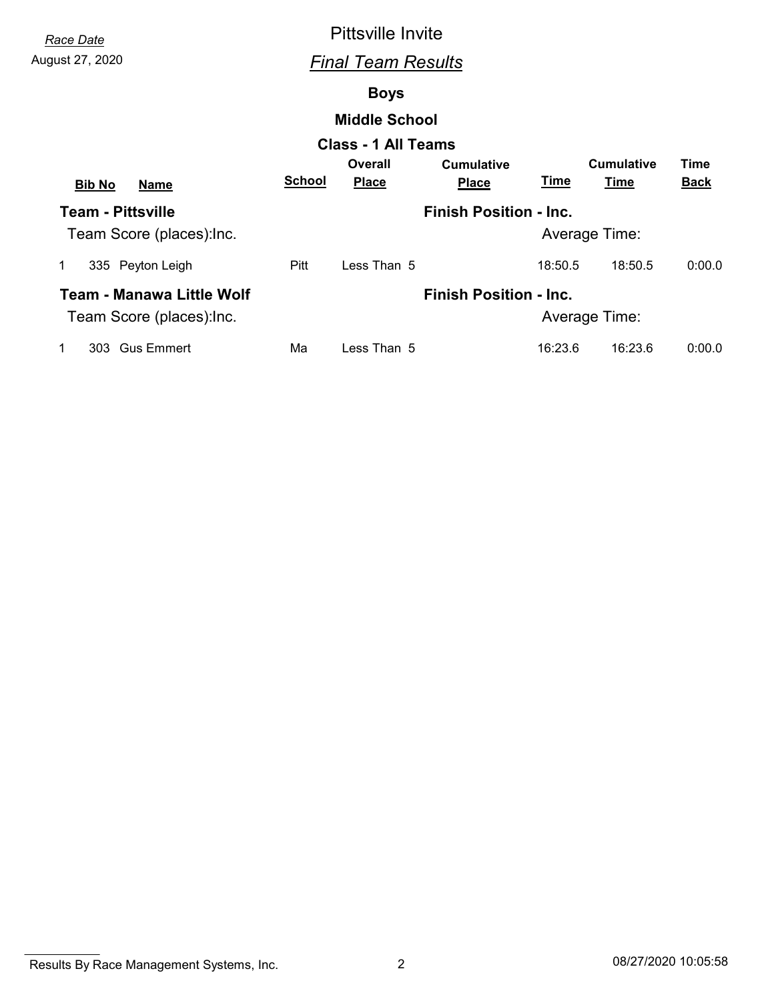# August 27, 2020 *Final Team Results*

#### **Boys**

#### **Middle School**

|                              |               | <b>Class - 1 All Teams</b> |                               |               |                   |             |
|------------------------------|---------------|----------------------------|-------------------------------|---------------|-------------------|-------------|
|                              |               | Overall                    | <b>Cumulative</b>             |               | <b>Cumulative</b> | Time        |
| <b>Bib No</b><br><b>Name</b> | <b>School</b> | <u>Place</u>               | <b>Place</b>                  | Time          | Time              | <b>Back</b> |
| <b>Team - Pittsville</b>     |               |                            | <b>Finish Position - Inc.</b> |               |                   |             |
| Team Score (places): Inc.    |               |                            |                               | Average Time: |                   |             |
| 335 Peyton Leigh             | Pitt          | Less Than 5                |                               | 18:50.5       | 18:50.5           | 0:00.0      |
| Team - Manawa Little Wolf    |               |                            | <b>Finish Position - Inc.</b> |               |                   |             |
| Team Score (places): Inc.    |               |                            |                               | Average Time: |                   |             |
| 303 Gus Emmert               | Ма            | Less Than 5                |                               | 16:23.6       | 16:23.6           | 0:00.0      |

Results By Race Management Systems, Inc. 2 08/27/2020 10:05:58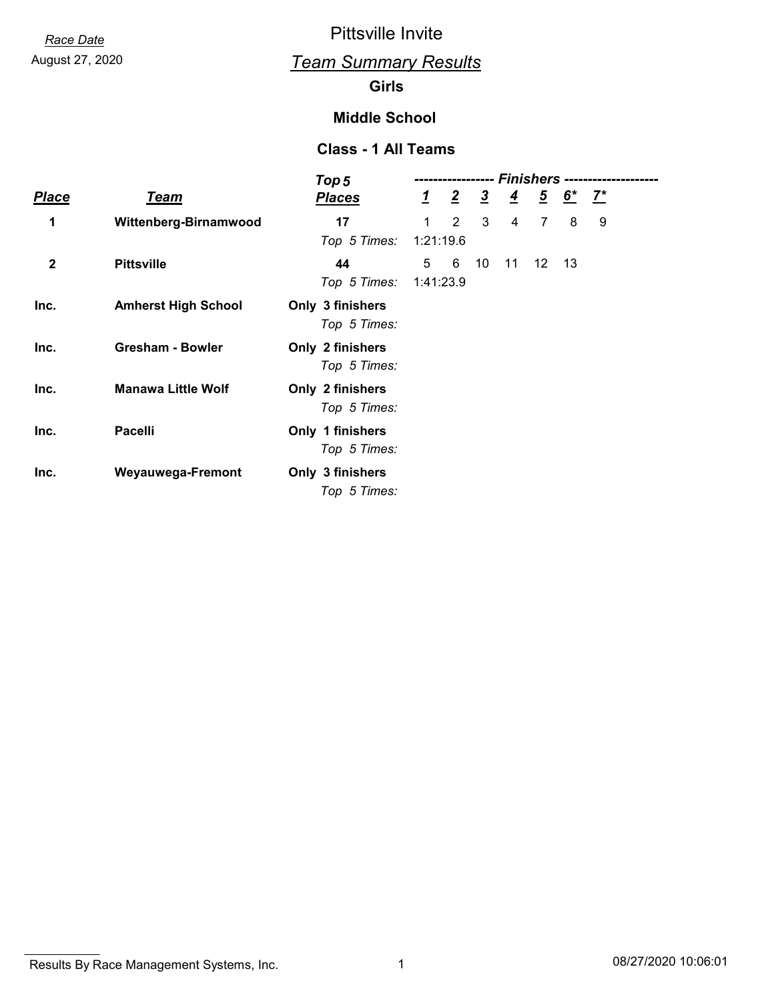# August 27, 2020 *Team Summary Results*

#### **Girls**

#### **Middle School**

|              |                            | Top 5                            | <b>Finishers --</b> |                 |               |                |                 |                                           |   |  |
|--------------|----------------------------|----------------------------------|---------------------|-----------------|---------------|----------------|-----------------|-------------------------------------------|---|--|
| <b>Place</b> | Team                       | <b>Places</b>                    |                     | $\frac{1}{2}$ 2 | $\frac{3}{2}$ | $\overline{4}$ |                 | $\frac{5}{2}$ $\frac{6}{2}$ $\frac{7}{2}$ |   |  |
| 1            | Wittenberg-Birnamwood      | 17<br>Top 5 Times:               | 1<br>1:21:19.6      | 2               | 3             | 4              | $\overline{7}$  | 8                                         | 9 |  |
| $\mathbf 2$  | <b>Pittsville</b>          | 44<br>Top 5 Times:               | 5<br>1:41:23.9      | 6               | 10            | 11             | 12 <sup>°</sup> | $-13$                                     |   |  |
| Inc.         | <b>Amherst High School</b> | Only 3 finishers<br>Top 5 Times: |                     |                 |               |                |                 |                                           |   |  |
| Inc.         | <b>Gresham - Bowler</b>    | Only 2 finishers<br>Top 5 Times: |                     |                 |               |                |                 |                                           |   |  |
| Inc.         | <b>Manawa Little Wolf</b>  | Only 2 finishers<br>Top 5 Times: |                     |                 |               |                |                 |                                           |   |  |
| Inc.         | <b>Pacelli</b>             | Only 1 finishers<br>Top 5 Times: |                     |                 |               |                |                 |                                           |   |  |
| Inc.         | Weyauwega-Fremont          | Only 3 finishers<br>Top 5 Times: |                     |                 |               |                |                 |                                           |   |  |

Results By Race Management Systems, Inc. 1 08/27/2020 10:06:01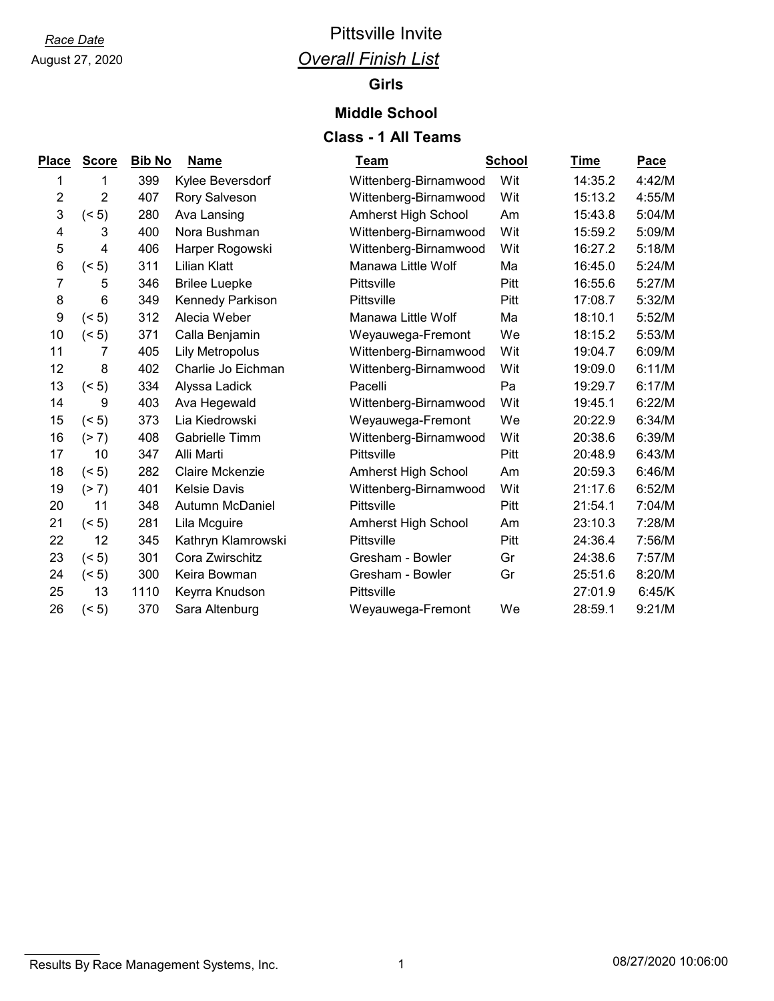# August 27, 2020

# *Race Date* Pittsville Invite *Overall Finish List*

#### **Girls**

#### **Middle School**

| Place | <b>Score</b>    | <b>Bib No</b> | <b>Name</b>            | Team                       | <b>School</b> | Time    | <b>Pace</b> |
|-------|-----------------|---------------|------------------------|----------------------------|---------------|---------|-------------|
| 1     | 1               | 399           | Kylee Beversdorf       | Wittenberg-Birnamwood      | Wit           | 14:35.2 | 4:42/M      |
| 2     | 2               | 407           | Rory Salveson          | Wittenberg-Birnamwood      | Wit           | 15:13.2 | 4:55/M      |
| 3     | (5)             | 280           | Ava Lansing            | Amherst High School        | Am            | 15:43.8 | 5:04/M      |
| 4     | 3               | 400           | Nora Bushman           | Wittenberg-Birnamwood      | Wit           | 15:59.2 | 5:09/M      |
| 5     | 4               | 406           | Harper Rogowski        | Wittenberg-Birnamwood      | Wit           | 16:27.2 | 5:18/M      |
| 6     | (5)             | 311           | Lilian Klatt           | Manawa Little Wolf         | Ma            | 16:45.0 | 5:24/M      |
| 7     | 5               | 346           | <b>Brilee Luepke</b>   | Pittsville                 | Pitt          | 16:55.6 | 5:27/M      |
| 8     | $6\phantom{1}6$ | 349           | Kennedy Parkison       | Pittsville                 | Pitt          | 17:08.7 | 5:32/M      |
| 9     | (5)             | 312           | Alecia Weber           | Manawa Little Wolf         | Ma            | 18:10.1 | 5:52/M      |
| 10    | (5)             | 371           | Calla Benjamin         | Weyauwega-Fremont          | We            | 18:15.2 | 5:53/M      |
| 11    | 7               | 405           | <b>Lily Metropolus</b> | Wittenberg-Birnamwood      | Wit           | 19:04.7 | 6:09/M      |
| 12    | 8               | 402           | Charlie Jo Eichman     | Wittenberg-Birnamwood      | Wit           | 19:09.0 | 6:11/M      |
| 13    | (5)             | 334           | Alyssa Ladick          | Pacelli                    | Pa            | 19:29.7 | 6:17/M      |
| 14    | 9               | 403           | Ava Hegewald           | Wittenberg-Birnamwood      | Wit           | 19:45.1 | 6:22/M      |
| 15    | (5)             | 373           | Lia Kiedrowski         | Weyauwega-Fremont          | We            | 20:22.9 | 6:34/M      |
| 16    | (2 7)           | 408           | Gabrielle Timm         | Wittenberg-Birnamwood      | Wit           | 20:38.6 | 6:39/M      |
| 17    | 10              | 347           | Alli Marti             | Pittsville                 | Pitt          | 20:48.9 | 6:43/M      |
| 18    | (5)             | 282           | <b>Claire Mckenzie</b> | <b>Amherst High School</b> | Am            | 20:59.3 | 6:46/M      |
| 19    | (2 7)           | 401           | <b>Kelsie Davis</b>    | Wittenberg-Birnamwood      | Wit           | 21:17.6 | 6:52/M      |
| 20    | 11              | 348           | Autumn McDaniel        | Pittsville                 | Pitt          | 21:54.1 | 7:04/M      |
| 21    | (5)             | 281           | Lila Mcguire           | <b>Amherst High School</b> | Am            | 23:10.3 | 7:28/M      |
| 22    | 12              | 345           | Kathryn Klamrowski     | Pittsville                 | Pitt          | 24:36.4 | 7:56/M      |
| 23    | (5)             | 301           | Cora Zwirschitz        | Gresham - Bowler           | Gr            | 24:38.6 | 7:57/M      |
| 24    | (5)             | 300           | Keira Bowman           | Gresham - Bowler           | Gr            | 25:51.6 | 8:20/M      |
| 25    | 13              | 1110          | Keyrra Knudson         | Pittsville                 |               | 27:01.9 | 6:45/K      |
| 26    | (5)             | 370           | Sara Altenburg         | Weyauwega-Fremont          | We            | 28:59.1 | 9:21/M      |

Results By Race Management Systems, Inc. 1 08/27/2020 10:06:00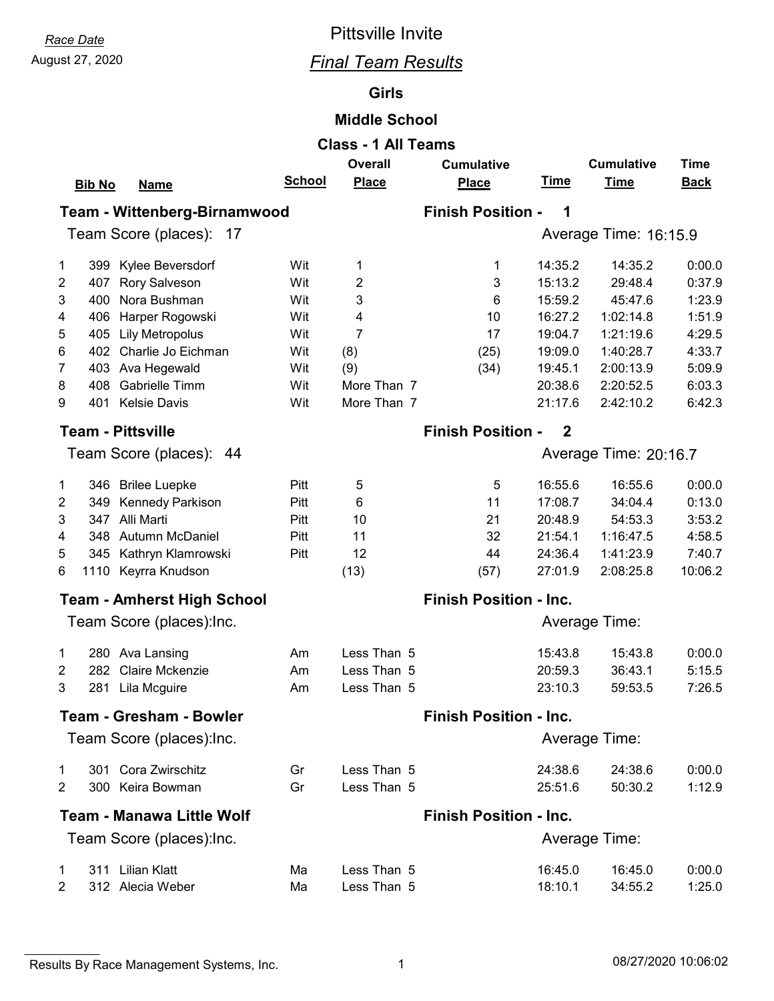# August 27, 2020 *Final Team Results*

#### **Girls**

#### **Middle School**

|                | <b>Class - 1 All Teams</b>                                              |               |                |                               |                               |                       |             |  |  |  |  |
|----------------|-------------------------------------------------------------------------|---------------|----------------|-------------------------------|-------------------------------|-----------------------|-------------|--|--|--|--|
|                | <b>Overall</b><br><b>Cumulative</b><br><b>Time</b><br><b>Cumulative</b> |               |                |                               |                               |                       |             |  |  |  |  |
|                | <b>Bib No</b><br><b>Name</b>                                            | <b>School</b> | <b>Place</b>   | <b>Place</b>                  | <u>Time</u>                   | <b>Time</b>           | <b>Back</b> |  |  |  |  |
|                | Team - Wittenberg-Birnamwood                                            |               |                | <b>Finish Position -</b>      | 1                             |                       |             |  |  |  |  |
|                |                                                                         |               |                |                               |                               |                       |             |  |  |  |  |
|                | Team Score (places): 17                                                 |               |                |                               |                               | Average Time: 16:15.9 |             |  |  |  |  |
| 1              | 399 Kylee Beversdorf                                                    | Wit           | 1              | 1                             | 14:35.2                       | 14:35.2               | 0:00.0      |  |  |  |  |
| 2              | 407<br><b>Rory Salveson</b>                                             | Wit           | 2              | 3                             | 15:13.2                       | 29:48.4               | 0:37.9      |  |  |  |  |
| 3              | Nora Bushman<br>400                                                     | Wit           | 3              | 6                             | 15:59.2                       | 45:47.6               | 1:23.9      |  |  |  |  |
| 4              | Harper Rogowski<br>406                                                  | Wit           | 4              | 10                            | 16:27.2                       | 1:02:14.8             | 1:51.9      |  |  |  |  |
| 5              | 405<br><b>Lily Metropolus</b>                                           | Wit           | $\overline{7}$ | 17                            | 19:04.7                       | 1:21:19.6             | 4:29.5      |  |  |  |  |
| 6              | Charlie Jo Eichman<br>402                                               | Wit           | (8)            | (25)                          | 19:09.0                       | 1:40:28.7             | 4:33.7      |  |  |  |  |
| 7              | 403 Ava Hegewald                                                        | Wit           | (9)            | (34)                          | 19:45.1                       | 2:00:13.9             | 5:09.9      |  |  |  |  |
| 8              | Gabrielle Timm<br>408                                                   | Wit           | More Than 7    |                               | 20:38.6                       | 2:20:52.5             | 6:03.3      |  |  |  |  |
| 9              | 401 Kelsie Davis                                                        | Wit           | More Than 7    |                               | 21:17.6                       | 2:42:10.2             | 6:42.3      |  |  |  |  |
|                | <b>Team - Pittsville</b>                                                |               |                | <b>Finish Position -</b>      | $\overline{2}$                |                       |             |  |  |  |  |
|                | Team Score (places): 44                                                 |               |                | Average Time: 20:16.7         |                               |                       |             |  |  |  |  |
|                |                                                                         |               |                |                               |                               |                       |             |  |  |  |  |
| 1              | 346 Brilee Luepke                                                       | Pitt          | 5              | 5                             | 16:55.6                       | 16:55.6               | 0:00.0      |  |  |  |  |
| 2              | 349<br>Kennedy Parkison                                                 | Pitt          | 6              | 11                            | 17:08.7                       | 34:04.4               | 0:13.0      |  |  |  |  |
| 3              | 347 Alli Marti                                                          | Pitt          | 10             | 21                            | 20:48.9                       | 54:53.3               | 3:53.2      |  |  |  |  |
| 4              | 348 Autumn McDaniel                                                     | Pitt          | 11             | 32                            | 21:54.1                       | 1:16:47.5             | 4:58.5      |  |  |  |  |
| 5              | 345 Kathryn Klamrowski                                                  | Pitt          | 12             | 44                            | 24:36.4                       | 1:41:23.9             | 7:40.7      |  |  |  |  |
| 6              | 1110 Keyrra Knudson                                                     |               | (13)           | (57)                          | 27:01.9                       | 2:08:25.8             | 10:06.2     |  |  |  |  |
|                | <b>Team - Amherst High School</b>                                       |               |                |                               | <b>Finish Position - Inc.</b> |                       |             |  |  |  |  |
|                | Team Score (places): Inc.                                               |               |                | Average Time:                 |                               |                       |             |  |  |  |  |
|                |                                                                         |               |                |                               |                               |                       |             |  |  |  |  |
| 1              | 280 Ava Lansing                                                         | Am            | Less Than 5    |                               | 15:43.8                       | 15:43.8               | 0:00.0      |  |  |  |  |
| $\overline{2}$ | Claire Mckenzie<br>282                                                  | Am            | Less Than 5    |                               | 20:59.3                       | 36:43.1               | 5:15.5      |  |  |  |  |
| 3              | 281<br>Lila Mcguire                                                     | Am            | Less Than 5    |                               | 23:10.3                       | 59:53.5               | 7:26.5      |  |  |  |  |
|                | <b>Team - Gresham - Bowler</b>                                          |               |                | <b>Finish Position - Inc.</b> |                               |                       |             |  |  |  |  |
|                | Team Score (places): Inc.                                               |               |                | Average Time:                 |                               |                       |             |  |  |  |  |
|                | 301 Cora Zwirschitz                                                     |               | Less Than 5    |                               | 24:38.6                       | 24:38.6               | 0:00.0      |  |  |  |  |
| 1<br>2         | 300 Keira Bowman                                                        | Gr<br>Gr      | Less Than 5    |                               | 25:51.6                       | 50:30.2               | 1:12.9      |  |  |  |  |
|                |                                                                         |               |                |                               |                               |                       |             |  |  |  |  |
|                | Team - Manawa Little Wolf                                               |               |                | <b>Finish Position - Inc.</b> |                               |                       |             |  |  |  |  |
|                | Team Score (places): Inc.                                               |               |                |                               |                               | Average Time:         |             |  |  |  |  |
| 1              | 311 Lilian Klatt                                                        | Ma            | Less Than 5    |                               | 16:45.0                       | 16:45.0               | 0:00.0      |  |  |  |  |
| $\overline{2}$ | 312 Alecia Weber                                                        | Ma            | Less Than 5    |                               | 18:10.1                       | 34:55.2               | 1:25.0      |  |  |  |  |